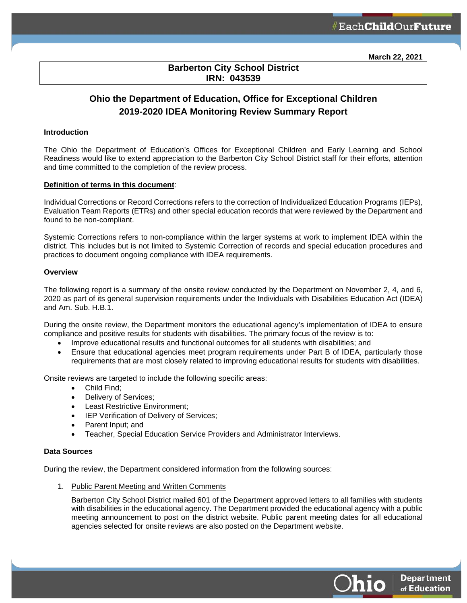**March 22, 2021**

# **Barberton City School District IRN: 043539**

l

# **Ohio the Department of Education, Office for Exceptional Children 2019-2020 IDEA Monitoring Review Summary Report**

#### **Introduction**

The Ohio the Department of Education's Offices for Exceptional Children and Early Learning and School Readiness would like to extend appreciation to the Barberton City School District staff for their efforts, attention and time committed to the completion of the review process.

#### **Definition of terms in this document**:

Individual Corrections or Record Corrections refers to the correction of Individualized Education Programs (IEPs), Evaluation Team Reports (ETRs) and other special education records that were reviewed by the Department and found to be non-compliant.

Systemic Corrections refers to non-compliance within the larger systems at work to implement IDEA within the district. This includes but is not limited to Systemic Correction of records and special education procedures and practices to document ongoing compliance with IDEA requirements.

## **Overview**

The following report is a summary of the onsite review conducted by the Department on November 2, 4, and 6, 2020 as part of its general supervision requirements under the Individuals with Disabilities Education Act (IDEA) and Am. Sub. H.B.1.

During the onsite review, the Department monitors the educational agency's implementation of IDEA to ensure compliance and positive results for students with disabilities. The primary focus of the review is to:

- Improve educational results and functional outcomes for all students with disabilities; and
- Ensure that educational agencies meet program requirements under Part B of IDEA, particularly those requirements that are most closely related to improving educational results for students with disabilities.

Onsite reviews are targeted to include the following specific areas:

- Child Find;
- Delivery of Services;
- Least Restrictive Environment;
- IEP Verification of Delivery of Services;
- Parent Input; and
- Teacher, Special Education Service Providers and Administrator Interviews.

#### **Data Sources**

During the review, the Department considered information from the following sources:

1. Public Parent Meeting and Written Comments

Barberton City School District mailed 601 of the Department approved letters to all families with students with disabilities in the educational agency. The Department provided the educational agency with a public meeting announcement to post on the district website. Public parent meeting dates for all educational agencies selected for onsite reviews are also posted on the Department website.

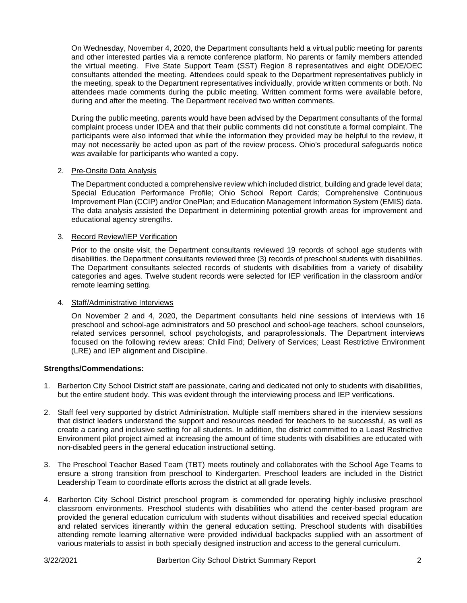On Wednesday, November 4, 2020, the Department consultants held a virtual public meeting for parents and other interested parties via a remote conference platform. No parents or family members attended the virtual meeting. Five State Support Team (SST) Region 8 representatives and eight ODE/OEC consultants attended the meeting. Attendees could speak to the Department representatives publicly in the meeting, speak to the Department representatives individually, provide written comments or both. No attendees made comments during the public meeting. Written comment forms were available before, during and after the meeting. The Department received two written comments.

During the public meeting, parents would have been advised by the Department consultants of the formal complaint process under IDEA and that their public comments did not constitute a formal complaint. The participants were also informed that while the information they provided may be helpful to the review, it may not necessarily be acted upon as part of the review process. Ohio's procedural safeguards notice was available for participants who wanted a copy.

#### 2. Pre-Onsite Data Analysis

The Department conducted a comprehensive review which included district, building and grade level data; Special Education Performance Profile; Ohio School Report Cards; Comprehensive Continuous Improvement Plan (CCIP) and/or OnePlan; and Education Management Information System (EMIS) data. The data analysis assisted the Department in determining potential growth areas for improvement and educational agency strengths.

## 3. Record Review/IEP Verification

Prior to the onsite visit, the Department consultants reviewed 19 records of school age students with disabilities. the Department consultants reviewed three (3) records of preschool students with disabilities. The Department consultants selected records of students with disabilities from a variety of disability categories and ages. Twelve student records were selected for IEP verification in the classroom and/or remote learning setting.

#### 4. Staff/Administrative Interviews

On November 2 and 4, 2020, the Department consultants held nine sessions of interviews with 16 preschool and school-age administrators and 50 preschool and school-age teachers, school counselors, related services personnel, school psychologists, and paraprofessionals. The Department interviews focused on the following review areas: Child Find; Delivery of Services; Least Restrictive Environment (LRE) and IEP alignment and Discipline.

# **Strengths/Commendations:**

- 1. Barberton City School District staff are passionate, caring and dedicated not only to students with disabilities, but the entire student body. This was evident through the interviewing process and IEP verifications.
- 2. Staff feel very supported by district Administration. Multiple staff members shared in the interview sessions that district leaders understand the support and resources needed for teachers to be successful, as well as create a caring and inclusive setting for all students. In addition, the district committed to a Least Restrictive Environment pilot project aimed at increasing the amount of time students with disabilities are educated with non-disabled peers in the general education instructional setting.
- 3. The Preschool Teacher Based Team (TBT) meets routinely and collaborates with the School Age Teams to ensure a strong transition from preschool to Kindergarten. Preschool leaders are included in the District Leadership Team to coordinate efforts across the district at all grade levels.
- 4. Barberton City School District preschool program is commended for operating highly inclusive preschool classroom environments. Preschool students with disabilities who attend the center-based program are provided the general education curriculum with students without disabilities and received special education and related services itinerantly within the general education setting. Preschool students with disabilities attending remote learning alternative were provided individual backpacks supplied with an assortment of various materials to assist in both specially designed instruction and access to the general curriculum.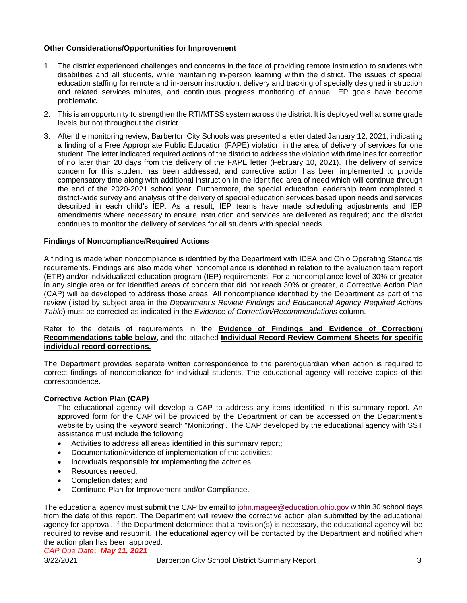## **Other Considerations/Opportunities for Improvement**

- 1. The district experienced challenges and concerns in the face of providing remote instruction to students with disabilities and all students, while maintaining in-person learning within the district. The issues of special education staffing for remote and in-person instruction, delivery and tracking of specially designed instruction and related services minutes, and continuous progress monitoring of annual IEP goals have become problematic.
- 2. This is an opportunity to strengthen the RTI/MTSS system across the district. It is deployed well at some grade levels but not throughout the district.
- 3. After the monitoring review, Barberton City Schools was presented a letter dated January 12, 2021, indicating a finding of a Free Appropriate Public Education (FAPE) violation in the area of delivery of services for one student. The letter indicated required actions of the district to address the violation with timelines for correction of no later than 20 days from the delivery of the FAPE letter (February 10, 2021). The delivery of service concern for this student has been addressed, and corrective action has been implemented to provide compensatory time along with additional instruction in the identified area of need which will continue through the end of the 2020-2021 school year. Furthermore, the special education leadership team completed a district-wide survey and analysis of the delivery of special education services based upon needs and services described in each child's IEP. As a result, IEP teams have made scheduling adjustments and IEP amendments where necessary to ensure instruction and services are delivered as required; and the district continues to monitor the delivery of services for all students with special needs.

#### **Findings of Noncompliance/Required Actions**

A finding is made when noncompliance is identified by the Department with IDEA and Ohio Operating Standards requirements. Findings are also made when noncompliance is identified in relation to the evaluation team report (ETR) and/or individualized education program (IEP) requirements. For a noncompliance level of 30% or greater in any single area or for identified areas of concern that did not reach 30% or greater, a Corrective Action Plan (CAP) will be developed to address those areas. All noncompliance identified by the Department as part of the review (listed by subject area in the *Department's Review Findings and Educational Agency Required Actions Table*) must be corrected as indicated in the *Evidence of Correction/Recommendations* column.

#### Refer to the details of requirements in the **Evidence of Findings and Evidence of Correction/ Recommendations table below**, and the attached **Individual Record Review Comment Sheets for specific individual record corrections.**

The Department provides separate written correspondence to the parent/guardian when action is required to correct findings of noncompliance for individual students. The educational agency will receive copies of this correspondence.

#### **Corrective Action Plan (CAP)**

The educational agency will develop a CAP to address any items identified in this summary report. An approved form for the CAP will be provided by the Department or can be accessed on the Department's website by using the keyword search "Monitoring". The CAP developed by the educational agency with SST assistance must include the following:

- Activities to address all areas identified in this summary report;
- Documentation/evidence of implementation of the activities;
- Individuals responsible for implementing the activities;
- Resources needed;
- Completion dates; and
- Continued Plan for Improvement and/or Compliance.

The educational agency must submit the CAP by email to [john.magee@education.ohio.gov](mailto:john.magee@education.ohio.gov) within 30 school days from the date of this report. The Department will review the corrective action plan submitted by the educational agency for approval. If the Department determines that a revision(s) is necessary, the educational agency will be required to revise and resubmit. The educational agency will be contacted by the Department and notified when the action plan has been approved.

#### *CAP Due Date***:** *May 11, 2021*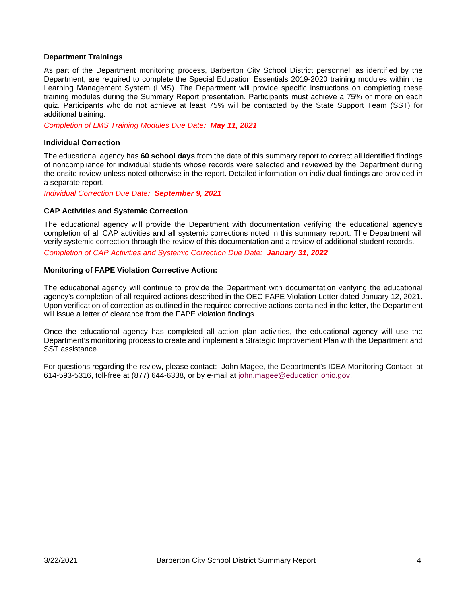#### **Department Trainings**

As part of the Department monitoring process, Barberton City School District personnel, as identified by the Department, are required to complete the Special Education Essentials 2019-2020 training modules within the Learning Management System (LMS). The Department will provide specific instructions on completing these training modules during the Summary Report presentation. Participants must achieve a 75% or more on each quiz. Participants who do not achieve at least 75% will be contacted by the State Support Team (SST) for additional training.

*Completion of LMS Training Modules Due Date: May 11, 2021*

#### **Individual Correction**

The educational agency has **60 school days** from the date of this summary report to correct all identified findings of noncompliance for individual students whose records were selected and reviewed by the Department during the onsite review unless noted otherwise in the report. Detailed information on individual findings are provided in a separate report.

*Individual Correction Due Date: September 9, 2021*

#### **CAP Activities and Systemic Correction**

The educational agency will provide the Department with documentation verifying the educational agency's completion of all CAP activities and all systemic corrections noted in this summary report. The Department will verify systemic correction through the review of this documentation and a review of additional student records.

*Completion of CAP Activities and Systemic Correction Due Date: January 31, 2022*

#### **Monitoring of FAPE Violation Corrective Action:**

The educational agency will continue to provide the Department with documentation verifying the educational agency's completion of all required actions described in the OEC FAPE Violation Letter dated January 12, 2021. Upon verification of correction as outlined in the required corrective actions contained in the letter, the Department will issue a letter of clearance from the FAPE violation findings.

Once the educational agency has completed all action plan activities, the educational agency will use the Department's monitoring process to create and implement a Strategic Improvement Plan with the Department and SST assistance.

For questions regarding the review, please contact: John Magee, the Department's IDEA Monitoring Contact, at 614-593-5316, toll-free at (877) 644-6338, or by e-mail at [john.magee@education.ohio.gov.](mailto:john.magee@education.ohio.gov)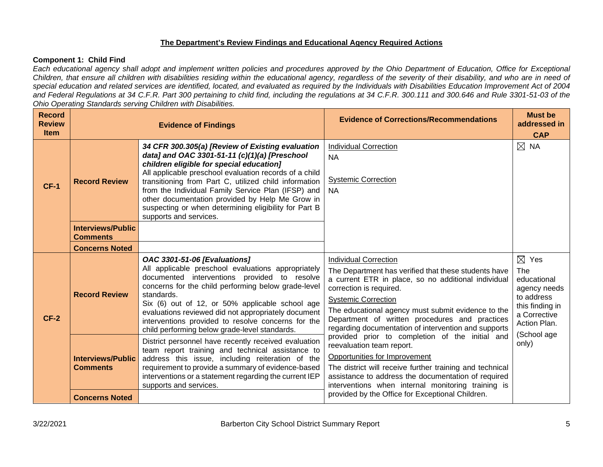# **The Department's Review Findings and Educational Agency Required Actions**

## **Component 1: Child Find**

*Each educational agency shall adopt and implement written policies and procedures approved by the Ohio Department of Education, Office for Exceptional Children, that ensure all children with disabilities residing within the educational agency, regardless of the severity of their disability, and who are in need of special education and related services are identified, located, and evaluated as required by the Individuals with Disabilities Education Improvement Act of 2004 and Federal Regulations at 34 C.F.R. Part 300 pertaining to child find, including the regulations at 34 C.F.R. 300.111 and 300.646 and Rule 3301-51-03 of the Ohio Operating Standards serving Children with Disabilities.* 

| <b>Record</b><br><b>Review</b><br><b>Item</b> |                                             | <b>Evidence of Findings</b>                                                                                                                                                                                                                                                                                                                                                                                                                                  | <b>Evidence of Corrections/Recommendations</b>                                                                                                                                                                                                                                                                                                                       | <b>Must be</b><br>addressed in<br><b>CAP</b>                                                                           |
|-----------------------------------------------|---------------------------------------------|--------------------------------------------------------------------------------------------------------------------------------------------------------------------------------------------------------------------------------------------------------------------------------------------------------------------------------------------------------------------------------------------------------------------------------------------------------------|----------------------------------------------------------------------------------------------------------------------------------------------------------------------------------------------------------------------------------------------------------------------------------------------------------------------------------------------------------------------|------------------------------------------------------------------------------------------------------------------------|
| $CF-1$                                        | <b>Record Review</b>                        | 34 CFR 300.305(a) [Review of Existing evaluation<br>data] and OAC 3301-51-11 (c)(1)(a) [Preschool<br>children eligible for special education]<br>All applicable preschool evaluation records of a child<br>transitioning from Part C, utilized child information<br>from the Individual Family Service Plan (IFSP) and<br>other documentation provided by Help Me Grow in<br>suspecting or when determining eligibility for Part B<br>supports and services. | <b>Individual Correction</b><br><b>NA</b><br><b>Systemic Correction</b><br><b>NA</b>                                                                                                                                                                                                                                                                                 | $\boxtimes$ NA                                                                                                         |
|                                               | <b>Interviews/Public</b><br><b>Comments</b> |                                                                                                                                                                                                                                                                                                                                                                                                                                                              |                                                                                                                                                                                                                                                                                                                                                                      |                                                                                                                        |
|                                               | <b>Concerns Noted</b>                       |                                                                                                                                                                                                                                                                                                                                                                                                                                                              |                                                                                                                                                                                                                                                                                                                                                                      |                                                                                                                        |
| $CF-2$                                        | <b>Record Review</b>                        | <b>OAC 3301-51-06 [Evaluations]</b><br>All applicable preschool evaluations appropriately<br>documented interventions provided to resolve<br>concerns for the child performing below grade-level<br>standards.<br>Six (6) out of 12, or 50% applicable school age<br>evaluations reviewed did not appropriately document<br>interventions provided to resolve concerns for the<br>child performing below grade-level standards.                              | <b>Individual Correction</b><br>The Department has verified that these students have<br>a current ETR in place, so no additional individual<br>correction is required.<br><b>Systemic Correction</b><br>The educational agency must submit evidence to the<br>Department of written procedures and practices<br>regarding documentation of intervention and supports | $\boxtimes$ Yes<br>The<br>educational<br>agency needs<br>to address<br>this finding in<br>a Corrective<br>Action Plan. |
|                                               | <b>Interviews/Public</b><br><b>Comments</b> | District personnel have recently received evaluation<br>team report training and technical assistance to<br>address this issue, including reiteration of the<br>requirement to provide a summary of evidence-based<br>interventions or a statement regarding the current IEP<br>supports and services.                                                                                                                                                       | provided prior to completion of the initial and<br>reevaluation team report.<br>Opportunities for Improvement<br>The district will receive further training and technical<br>assistance to address the documentation of required<br>interventions when internal monitoring training is                                                                               | (School age<br>only)                                                                                                   |
|                                               | <b>Concerns Noted</b>                       |                                                                                                                                                                                                                                                                                                                                                                                                                                                              | provided by the Office for Exceptional Children.                                                                                                                                                                                                                                                                                                                     |                                                                                                                        |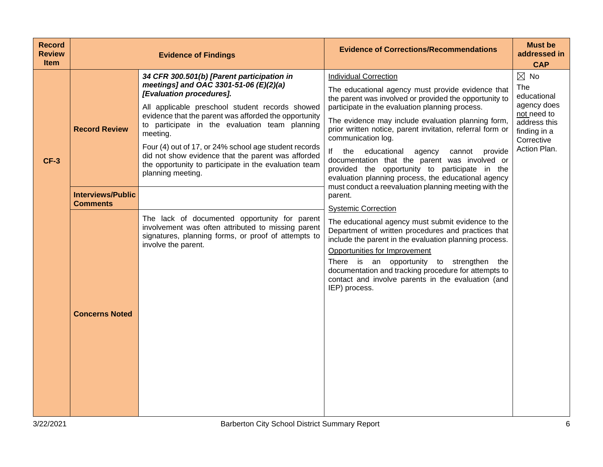| <b>Record</b><br><b>Review</b><br><b>Item</b> |                                             | <b>Evidence of Findings</b>                                                                                                                                                                                                                                                                                                                                                                                                                                                             | <b>Evidence of Corrections/Recommendations</b>                                                                                                                                                                                                                                                                                                                                                                                                                                                                                                               | <b>Must be</b><br>addressed in<br><b>CAP</b>                                                                                     |
|-----------------------------------------------|---------------------------------------------|-----------------------------------------------------------------------------------------------------------------------------------------------------------------------------------------------------------------------------------------------------------------------------------------------------------------------------------------------------------------------------------------------------------------------------------------------------------------------------------------|--------------------------------------------------------------------------------------------------------------------------------------------------------------------------------------------------------------------------------------------------------------------------------------------------------------------------------------------------------------------------------------------------------------------------------------------------------------------------------------------------------------------------------------------------------------|----------------------------------------------------------------------------------------------------------------------------------|
| $CF-3$                                        | <b>Record Review</b>                        | 34 CFR 300.501(b) [Parent participation in<br>meetings] and OAC 3301-51-06 (E)(2)(a)<br>[Evaluation procedures].<br>All applicable preschool student records showed<br>evidence that the parent was afforded the opportunity<br>to participate in the evaluation team planning<br>meeting.<br>Four (4) out of 17, or 24% school age student records<br>did not show evidence that the parent was afforded<br>the opportunity to participate in the evaluation team<br>planning meeting. | <b>Individual Correction</b><br>The educational agency must provide evidence that<br>the parent was involved or provided the opportunity to<br>participate in the evaluation planning process.<br>The evidence may include evaluation planning form,<br>prior written notice, parent invitation, referral form or<br>communication log.<br>lf<br>the<br>educational<br>agency<br>cannot<br>provide<br>documentation that the parent was involved or<br>provided the opportunity to participate in the<br>evaluation planning process, the educational agency | $\boxtimes$ No<br>The<br>educational<br>agency does<br>not need to<br>address this<br>finding in a<br>Corrective<br>Action Plan. |
|                                               | <b>Interviews/Public</b><br><b>Comments</b> |                                                                                                                                                                                                                                                                                                                                                                                                                                                                                         | must conduct a reevaluation planning meeting with the<br>parent.<br><b>Systemic Correction</b>                                                                                                                                                                                                                                                                                                                                                                                                                                                               |                                                                                                                                  |
|                                               | <b>Concerns Noted</b>                       | The lack of documented opportunity for parent<br>involvement was often attributed to missing parent<br>signatures, planning forms, or proof of attempts to<br>involve the parent.                                                                                                                                                                                                                                                                                                       | The educational agency must submit evidence to the<br>Department of written procedures and practices that<br>include the parent in the evaluation planning process.<br>Opportunities for Improvement<br>There is an opportunity to strengthen<br>the<br>documentation and tracking procedure for attempts to<br>contact and involve parents in the evaluation (and<br>IEP) process.                                                                                                                                                                          |                                                                                                                                  |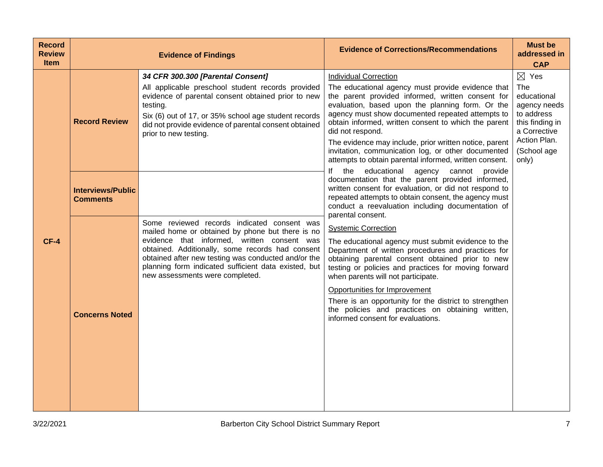| <b>Record</b><br><b>Review</b><br><b>Item</b> |                                             | <b>Evidence of Findings</b>                                                                                                                                                                                                                                                                                                                          | <b>Evidence of Corrections/Recommendations</b>                                                                                                                                                                                                                                                                                                                                                                                                                                                       | <b>Must be</b><br>addressed in<br><b>CAP</b>                                                                                                   |
|-----------------------------------------------|---------------------------------------------|------------------------------------------------------------------------------------------------------------------------------------------------------------------------------------------------------------------------------------------------------------------------------------------------------------------------------------------------------|------------------------------------------------------------------------------------------------------------------------------------------------------------------------------------------------------------------------------------------------------------------------------------------------------------------------------------------------------------------------------------------------------------------------------------------------------------------------------------------------------|------------------------------------------------------------------------------------------------------------------------------------------------|
|                                               | <b>Record Review</b>                        | 34 CFR 300.300 [Parental Consent]<br>All applicable preschool student records provided<br>evidence of parental consent obtained prior to new<br>testing.<br>Six (6) out of 17, or 35% school age student records<br>did not provide evidence of parental consent obtained<br>prior to new testing.                                                   | <b>Individual Correction</b><br>The educational agency must provide evidence that<br>the parent provided informed, written consent for<br>evaluation, based upon the planning form. Or the<br>agency must show documented repeated attempts to<br>obtain informed, written consent to which the parent<br>did not respond.<br>The evidence may include, prior written notice, parent<br>invitation, communication log, or other documented<br>attempts to obtain parental informed, written consent. | $\boxtimes$ Yes<br>The<br>educational<br>agency needs<br>to address<br>this finding in<br>a Corrective<br>Action Plan.<br>(School age<br>only) |
|                                               | <b>Interviews/Public</b><br><b>Comments</b> |                                                                                                                                                                                                                                                                                                                                                      | lf<br>educational agency cannot<br>the<br>provide<br>documentation that the parent provided informed,<br>written consent for evaluation, or did not respond to<br>repeated attempts to obtain consent, the agency must<br>conduct a reevaluation including documentation of                                                                                                                                                                                                                          |                                                                                                                                                |
| $CF-4$                                        | <b>Concerns Noted</b>                       | Some reviewed records indicated consent was<br>mailed home or obtained by phone but there is no<br>evidence that informed, written consent was<br>obtained. Additionally, some records had consent<br>obtained after new testing was conducted and/or the<br>planning form indicated sufficient data existed, but<br>new assessments were completed. | parental consent.<br><b>Systemic Correction</b><br>The educational agency must submit evidence to the<br>Department of written procedures and practices for<br>obtaining parental consent obtained prior to new<br>testing or policies and practices for moving forward<br>when parents will not participate.<br>Opportunities for Improvement<br>There is an opportunity for the district to strengthen<br>the policies and practices on obtaining written,<br>informed consent for evaluations.    |                                                                                                                                                |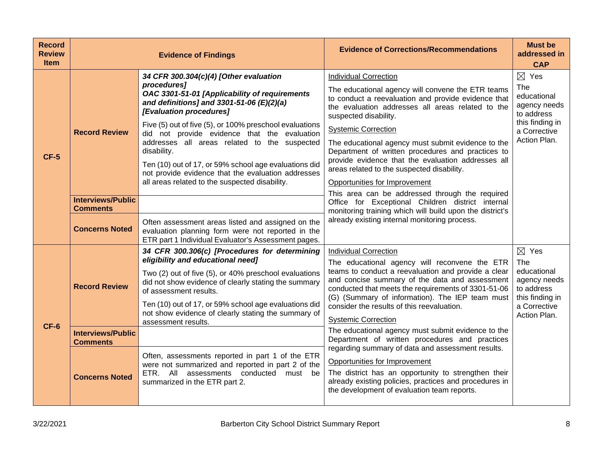| <b>Record</b><br><b>Review</b><br><b>Item</b> |                                                                      | <b>Evidence of Findings</b>                                                                                                                                                                                                                                                                                                                                                                                                                                                                                               | <b>Evidence of Corrections/Recommendations</b>                                                                                                                                                                                                                                                                                                                                                                                                                                                                                                          | <b>Must be</b><br>addressed in<br><b>CAP</b>                                                                           |
|-----------------------------------------------|----------------------------------------------------------------------|---------------------------------------------------------------------------------------------------------------------------------------------------------------------------------------------------------------------------------------------------------------------------------------------------------------------------------------------------------------------------------------------------------------------------------------------------------------------------------------------------------------------------|---------------------------------------------------------------------------------------------------------------------------------------------------------------------------------------------------------------------------------------------------------------------------------------------------------------------------------------------------------------------------------------------------------------------------------------------------------------------------------------------------------------------------------------------------------|------------------------------------------------------------------------------------------------------------------------|
| $CF-5$                                        | <b>Record Review</b>                                                 | 34 CFR 300.304(c)(4) [Other evaluation<br>procedures]<br>OAC 3301-51-01 [Applicability of requirements<br>and definitions] and 3301-51-06 (E)(2)(a)<br>[Evaluation procedures]<br>Five (5) out of five (5), or 100% preschool evaluations<br>did not provide evidence that the evaluation<br>addresses all areas related to the suspected<br>disability.<br>Ten (10) out of 17, or 59% school age evaluations did<br>not provide evidence that the evaluation addresses<br>all areas related to the suspected disability. | <b>Individual Correction</b><br>The educational agency will convene the ETR teams<br>to conduct a reevaluation and provide evidence that<br>the evaluation addresses all areas related to the<br>suspected disability.<br><b>Systemic Correction</b><br>The educational agency must submit evidence to the<br>Department of written procedures and practices to<br>provide evidence that the evaluation addresses all<br>areas related to the suspected disability.<br>Opportunities for Improvement<br>This area can be addressed through the required | $\boxtimes$ Yes<br>The<br>educational<br>agency needs<br>to address<br>this finding in<br>a Corrective<br>Action Plan. |
|                                               | <b>Interviews/Public</b><br><b>Comments</b><br><b>Concerns Noted</b> | Often assessment areas listed and assigned on the<br>evaluation planning form were not reported in the<br>ETR part 1 Individual Evaluator's Assessment pages.                                                                                                                                                                                                                                                                                                                                                             | Office for Exceptional Children district internal<br>monitoring training which will build upon the district's<br>already existing internal monitoring process.                                                                                                                                                                                                                                                                                                                                                                                          |                                                                                                                        |
|                                               | <b>Record Review</b>                                                 | 34 CFR 300.306(c) [Procedures for determining<br>eligibility and educational need]<br>Two (2) out of five (5), or 40% preschool evaluations<br>did not show evidence of clearly stating the summary<br>of assessment results.<br>Ten (10) out of 17, or 59% school age evaluations did<br>not show evidence of clearly stating the summary of<br>assessment results.                                                                                                                                                      | <b>Individual Correction</b><br>The educational agency will reconvene the ETR<br>teams to conduct a reevaluation and provide a clear<br>and concise summary of the data and assessment<br>conducted that meets the requirements of 3301-51-06<br>(G) (Summary of information). The IEP team must<br>consider the results of this reevaluation.<br><b>Systemic Correction</b>                                                                                                                                                                            | $\boxtimes$ Yes<br>The<br>educational<br>agency needs<br>to address<br>this finding in<br>a Corrective<br>Action Plan. |
| $CF-6$                                        | <b>Interviews/Public</b><br><b>Comments</b>                          |                                                                                                                                                                                                                                                                                                                                                                                                                                                                                                                           | The educational agency must submit evidence to the<br>Department of written procedures and practices                                                                                                                                                                                                                                                                                                                                                                                                                                                    |                                                                                                                        |
|                                               | <b>Concerns Noted</b>                                                | Often, assessments reported in part 1 of the ETR<br>were not summarized and reported in part 2 of the<br>ETR. All assessments conducted must be<br>summarized in the ETR part 2.                                                                                                                                                                                                                                                                                                                                          | regarding summary of data and assessment results.<br>Opportunities for Improvement<br>The district has an opportunity to strengthen their<br>already existing policies, practices and procedures in<br>the development of evaluation team reports.                                                                                                                                                                                                                                                                                                      |                                                                                                                        |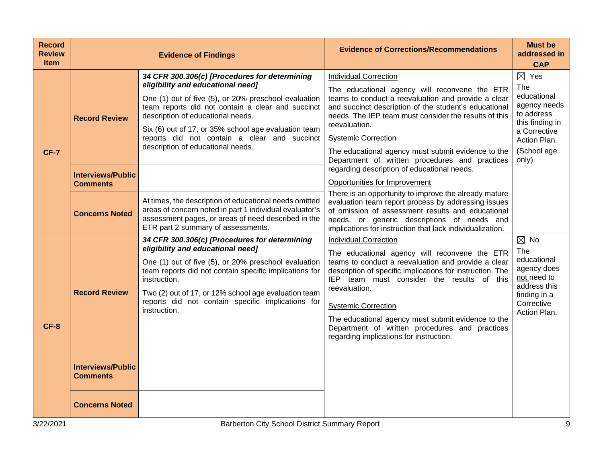| <b>Record</b><br><b>Review</b><br><b>Item</b> |                                                                      | <b>Evidence of Findings</b>                                                                                                                                                                                                                                                                                                                                                       | <b>Evidence of Corrections/Recommendations</b>                                                                                                                                                                                                                                                                                                                                                                                                    | <b>Must be</b><br>addressed in<br><b>CAP</b>                                                                                                   |
|-----------------------------------------------|----------------------------------------------------------------------|-----------------------------------------------------------------------------------------------------------------------------------------------------------------------------------------------------------------------------------------------------------------------------------------------------------------------------------------------------------------------------------|---------------------------------------------------------------------------------------------------------------------------------------------------------------------------------------------------------------------------------------------------------------------------------------------------------------------------------------------------------------------------------------------------------------------------------------------------|------------------------------------------------------------------------------------------------------------------------------------------------|
| <b>CF-7</b>                                   | <b>Record Review</b>                                                 | 34 CFR 300.306(c) [Procedures for determining<br>eligibility and educational need]<br>One (1) out of five (5), or 20% preschool evaluation<br>team reports did not contain a clear and succinct<br>description of educational needs.<br>Six (6) out of 17, or 35% school age evaluation team<br>reports did not contain a clear and succinct<br>description of educational needs. | <b>Individual Correction</b><br>The educational agency will reconvene the ETR<br>teams to conduct a reevaluation and provide a clear<br>and succinct description of the student's educational<br>needs. The IEP team must consider the results of this<br>reevaluation.<br><b>Systemic Correction</b><br>The educational agency must submit evidence to the<br>Department of written procedures and practices                                     | $\boxtimes$ Yes<br>The<br>educational<br>agency needs<br>to address<br>this finding in<br>a Corrective<br>Action Plan.<br>(School age<br>only) |
|                                               | <b>Interviews/Public</b><br><b>Comments</b><br><b>Concerns Noted</b> | At times, the description of educational needs omitted<br>areas of concern noted in part 1 individual evaluator's<br>assessment pages, or areas of need described in the<br>ETR part 2 summary of assessments.                                                                                                                                                                    | regarding description of educational needs.<br>Opportunities for Improvement<br>There is an opportunity to improve the already mature<br>evaluation team report process by addressing issues<br>of omission of assessment results and educational<br>needs, or generic descriptions of needs and<br>implications for instruction that lack individualization.                                                                                     |                                                                                                                                                |
| $CF-8$                                        | <b>Record Review</b>                                                 | 34 CFR 300.306(c) [Procedures for determining<br>eligibility and educational need]<br>One (1) out of five (5), or 20% preschool evaluation<br>team reports did not contain specific implications for<br>instruction.<br>Two (2) out of 17, or 12% school age evaluation team<br>reports did not contain specific implications for<br>instruction.                                 | <b>Individual Correction</b><br>The educational agency will reconvene the ETR<br>teams to conduct a reevaluation and provide a clear<br>description of specific implications for instruction. The<br>IEP team must consider the results of this<br>reevaluation.<br><b>Systemic Correction</b><br>The educational agency must submit evidence to the<br>Department of written procedures and practices<br>regarding implications for instruction. | $\boxtimes$ No<br>The<br>educational<br>agency does<br>not need to<br>address this<br>finding in a<br>Corrective<br>Action Plan.               |
|                                               | <b>Interviews/Public</b><br><b>Comments</b><br><b>Concerns Noted</b> |                                                                                                                                                                                                                                                                                                                                                                                   |                                                                                                                                                                                                                                                                                                                                                                                                                                                   |                                                                                                                                                |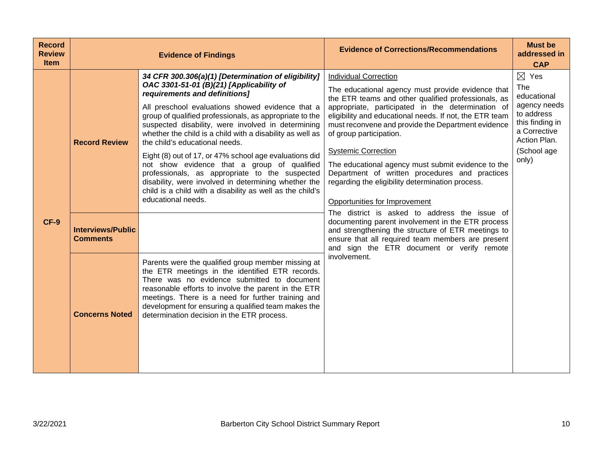| <b>Record</b><br><b>Review</b><br><b>Item</b> |                                             | <b>Evidence of Findings</b>                                                                                                                                                                                                                                                                                                                                                                                                                                                                                                                                                                                                                                                                                | <b>Evidence of Corrections/Recommendations</b>                                                                                                                                                                                                                                                                                                                                                                                                                                                                                                                                                                        | <b>Must be</b><br>addressed in<br><b>CAP</b>                                                                                                   |
|-----------------------------------------------|---------------------------------------------|------------------------------------------------------------------------------------------------------------------------------------------------------------------------------------------------------------------------------------------------------------------------------------------------------------------------------------------------------------------------------------------------------------------------------------------------------------------------------------------------------------------------------------------------------------------------------------------------------------------------------------------------------------------------------------------------------------|-----------------------------------------------------------------------------------------------------------------------------------------------------------------------------------------------------------------------------------------------------------------------------------------------------------------------------------------------------------------------------------------------------------------------------------------------------------------------------------------------------------------------------------------------------------------------------------------------------------------------|------------------------------------------------------------------------------------------------------------------------------------------------|
| <b>CF-9</b>                                   | <b>Record Review</b>                        | 34 CFR 300.306(a)(1) [Determination of eligibility]<br>OAC 3301-51-01 (B)(21) [Applicability of<br>requirements and definitions]<br>All preschool evaluations showed evidence that a<br>group of qualified professionals, as appropriate to the<br>suspected disability, were involved in determining<br>whether the child is a child with a disability as well as<br>the child's educational needs.<br>Eight (8) out of 17, or 47% school age evaluations did<br>not show evidence that a group of qualified<br>professionals, as appropriate to the suspected<br>disability, were involved in determining whether the<br>child is a child with a disability as well as the child's<br>educational needs. | <b>Individual Correction</b><br>The educational agency must provide evidence that<br>the ETR teams and other qualified professionals, as<br>appropriate, participated in the determination of<br>eligibility and educational needs. If not, the ETR team<br>must reconvene and provide the Department evidence<br>of group participation.<br><b>Systemic Correction</b><br>The educational agency must submit evidence to the<br>Department of written procedures and practices<br>regarding the eligibility determination process.<br>Opportunities for Improvement<br>The district is asked to address the issue of | $\boxtimes$ Yes<br>The<br>educational<br>agency needs<br>to address<br>this finding in<br>a Corrective<br>Action Plan.<br>(School age<br>only) |
|                                               | <b>Interviews/Public</b><br><b>Comments</b> |                                                                                                                                                                                                                                                                                                                                                                                                                                                                                                                                                                                                                                                                                                            | documenting parent involvement in the ETR process<br>and strengthening the structure of ETR meetings to<br>ensure that all required team members are present<br>and sign the ETR document or verify remote                                                                                                                                                                                                                                                                                                                                                                                                            |                                                                                                                                                |
|                                               | <b>Concerns Noted</b>                       | Parents were the qualified group member missing at<br>the ETR meetings in the identified ETR records.<br>There was no evidence submitted to document<br>reasonable efforts to involve the parent in the ETR<br>meetings. There is a need for further training and<br>development for ensuring a qualified team makes the<br>determination decision in the ETR process.                                                                                                                                                                                                                                                                                                                                     | involvement.                                                                                                                                                                                                                                                                                                                                                                                                                                                                                                                                                                                                          |                                                                                                                                                |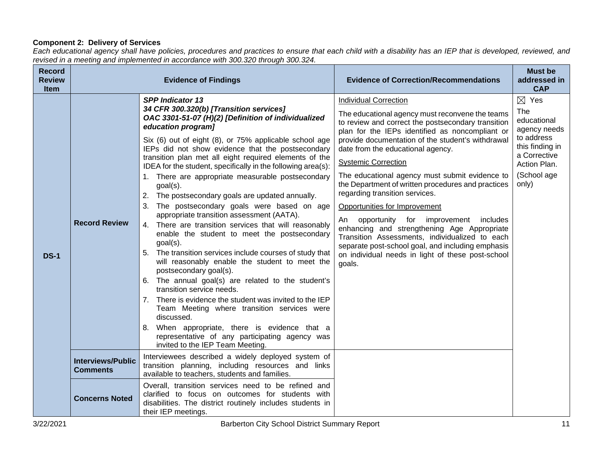## **Component 2: Delivery of Services**

*Each educational agency shall have policies, procedures and practices to ensure that each child with a disability has an IEP that is developed, reviewed, and revised in a meeting and implemented in accordance with 300.320 through 300.324.*

| <b>Record</b><br><b>Review</b><br>Item |                                             | <b>Evidence of Findings</b>                                                                                                                                                                                                                                                                                                                                                                                                                                                                                                                                                                                                                                                                                                                                                                                                                                                                                                                                                                                                                                                                                                                                                                                                        | <b>Evidence of Correction/Recommendations</b>                                                                                                                                                                                                                                                                                                                                                                                                                                                                                                                                                                                                                                                                                                                  | <b>Must be</b><br>addressed in<br><b>CAP</b>                                                                                                   |
|----------------------------------------|---------------------------------------------|------------------------------------------------------------------------------------------------------------------------------------------------------------------------------------------------------------------------------------------------------------------------------------------------------------------------------------------------------------------------------------------------------------------------------------------------------------------------------------------------------------------------------------------------------------------------------------------------------------------------------------------------------------------------------------------------------------------------------------------------------------------------------------------------------------------------------------------------------------------------------------------------------------------------------------------------------------------------------------------------------------------------------------------------------------------------------------------------------------------------------------------------------------------------------------------------------------------------------------|----------------------------------------------------------------------------------------------------------------------------------------------------------------------------------------------------------------------------------------------------------------------------------------------------------------------------------------------------------------------------------------------------------------------------------------------------------------------------------------------------------------------------------------------------------------------------------------------------------------------------------------------------------------------------------------------------------------------------------------------------------------|------------------------------------------------------------------------------------------------------------------------------------------------|
| <b>DS-1</b>                            | <b>Record Review</b>                        | <b>SPP Indicator 13</b><br>34 CFR 300.320(b) [Transition services]<br>OAC 3301-51-07 (H)(2) [Definition of individualized<br>education program]<br>Six (6) out of eight (8), or 75% applicable school age<br>IEPs did not show evidence that the postsecondary<br>transition plan met all eight required elements of the<br>IDEA for the student, specifically in the following area(s):<br>1. There are appropriate measurable postsecondary<br>goal(s).<br>The postsecondary goals are updated annually.<br>2.<br>3.<br>The postsecondary goals were based on age<br>appropriate transition assessment (AATA).<br>4. There are transition services that will reasonably<br>enable the student to meet the postsecondary<br>$goal(s)$ .<br>5. The transition services include courses of study that<br>will reasonably enable the student to meet the<br>postsecondary goal(s).<br>6. The annual goal(s) are related to the student's<br>transition service needs.<br>7. There is evidence the student was invited to the IEP<br>Team Meeting where transition services were<br>discussed.<br>8. When appropriate, there is evidence that a<br>representative of any participating agency was<br>invited to the IEP Team Meeting. | <b>Individual Correction</b><br>The educational agency must reconvene the teams<br>to review and correct the postsecondary transition<br>plan for the IEPs identified as noncompliant or<br>provide documentation of the student's withdrawal<br>date from the educational agency.<br><b>Systemic Correction</b><br>The educational agency must submit evidence to<br>the Department of written procedures and practices<br>regarding transition services.<br>Opportunities for Improvement<br>An opportunity for improvement<br>includes<br>enhancing and strengthening Age Appropriate<br>Transition Assessments, individualized to each<br>separate post-school goal, and including emphasis<br>on individual needs in light of these post-school<br>goals. | $\boxtimes$ Yes<br>The<br>educational<br>agency needs<br>to address<br>this finding in<br>a Corrective<br>Action Plan.<br>(School age<br>only) |
|                                        | <b>Interviews/Public</b><br><b>Comments</b> | Interviewees described a widely deployed system of<br>transition planning, including resources and links<br>available to teachers, students and families.                                                                                                                                                                                                                                                                                                                                                                                                                                                                                                                                                                                                                                                                                                                                                                                                                                                                                                                                                                                                                                                                          |                                                                                                                                                                                                                                                                                                                                                                                                                                                                                                                                                                                                                                                                                                                                                                |                                                                                                                                                |
|                                        | <b>Concerns Noted</b>                       | Overall, transition services need to be refined and<br>clarified to focus on outcomes for students with<br>disabilities. The district routinely includes students in<br>their IEP meetings.                                                                                                                                                                                                                                                                                                                                                                                                                                                                                                                                                                                                                                                                                                                                                                                                                                                                                                                                                                                                                                        |                                                                                                                                                                                                                                                                                                                                                                                                                                                                                                                                                                                                                                                                                                                                                                |                                                                                                                                                |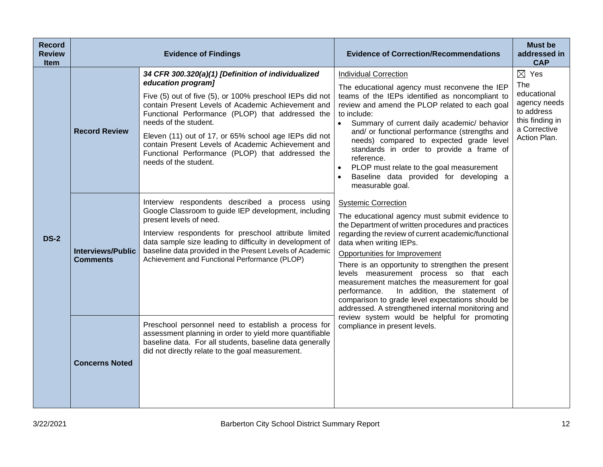| <b>Record</b><br><b>Review</b><br><b>Item</b> |                                             | <b>Evidence of Findings</b>                                                                                                                                                                                                                                                                                                                                                                                                                                         | <b>Evidence of Correction/Recommendations</b>                                                                                                                                                                                                                                                                                                                                                                                                                                                                                                                   | <b>Must be</b><br>addressed in<br><b>CAP</b>                                                                           |
|-----------------------------------------------|---------------------------------------------|---------------------------------------------------------------------------------------------------------------------------------------------------------------------------------------------------------------------------------------------------------------------------------------------------------------------------------------------------------------------------------------------------------------------------------------------------------------------|-----------------------------------------------------------------------------------------------------------------------------------------------------------------------------------------------------------------------------------------------------------------------------------------------------------------------------------------------------------------------------------------------------------------------------------------------------------------------------------------------------------------------------------------------------------------|------------------------------------------------------------------------------------------------------------------------|
| <b>DS-2</b>                                   | <b>Record Review</b>                        | 34 CFR 300.320(a)(1) [Definition of individualized<br>education program]<br>Five (5) out of five (5), or 100% preschool IEPs did not<br>contain Present Levels of Academic Achievement and<br>Functional Performance (PLOP) that addressed the<br>needs of the student.<br>Eleven (11) out of 17, or 65% school age IEPs did not<br>contain Present Levels of Academic Achievement and<br>Functional Performance (PLOP) that addressed the<br>needs of the student. | <b>Individual Correction</b><br>The educational agency must reconvene the IEP<br>teams of the IEPs identified as noncompliant to<br>review and amend the PLOP related to each goal<br>to include:<br>Summary of current daily academic/ behavior<br>$\bullet$<br>and/ or functional performance (strengths and<br>needs) compared to expected grade level<br>standards in order to provide a frame of<br>reference.<br>PLOP must relate to the goal measurement<br>$\bullet$<br>Baseline data provided for developing a<br>$\bullet$<br>measurable goal.        | $\boxtimes$ Yes<br>The<br>educational<br>agency needs<br>to address<br>this finding in<br>a Corrective<br>Action Plan. |
|                                               | <b>Interviews/Public</b><br><b>Comments</b> | Interview respondents described a process using<br>Google Classroom to guide IEP development, including<br>present levels of need.<br>Interview respondents for preschool attribute limited<br>data sample size leading to difficulty in development of<br>baseline data provided in the Present Levels of Academic<br>Achievement and Functional Performance (PLOP)                                                                                                | <b>Systemic Correction</b><br>The educational agency must submit evidence to<br>the Department of written procedures and practices<br>regarding the review of current academic/functional<br>data when writing IEPs.<br>Opportunities for Improvement<br>There is an opportunity to strengthen the present<br>levels measurement process so that each<br>measurement matches the measurement for goal<br>In addition, the statement of<br>performance.<br>comparison to grade level expectations should be<br>addressed. A strengthened internal monitoring and |                                                                                                                        |
|                                               | <b>Concerns Noted</b>                       | Preschool personnel need to establish a process for<br>assessment planning in order to yield more quantifiable<br>baseline data. For all students, baseline data generally<br>did not directly relate to the goal measurement.                                                                                                                                                                                                                                      | review system would be helpful for promoting<br>compliance in present levels.                                                                                                                                                                                                                                                                                                                                                                                                                                                                                   |                                                                                                                        |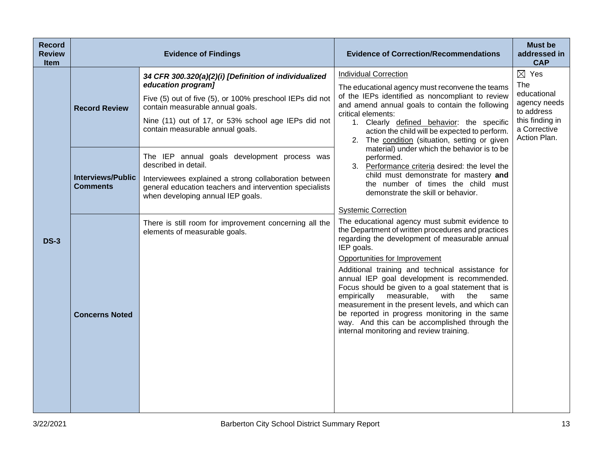| <b>Record</b><br><b>Review</b><br><b>Item</b> |                                             | <b>Evidence of Findings</b>                                                                                                                                                                                                                                                                                            | <b>Evidence of Correction/Recommendations</b>                                                                                                                                                                                                                                                                                                                                                                                                                                                                                                                                                                                  | <b>Must be</b><br>addressed in<br><b>CAP</b>                                                                                  |
|-----------------------------------------------|---------------------------------------------|------------------------------------------------------------------------------------------------------------------------------------------------------------------------------------------------------------------------------------------------------------------------------------------------------------------------|--------------------------------------------------------------------------------------------------------------------------------------------------------------------------------------------------------------------------------------------------------------------------------------------------------------------------------------------------------------------------------------------------------------------------------------------------------------------------------------------------------------------------------------------------------------------------------------------------------------------------------|-------------------------------------------------------------------------------------------------------------------------------|
|                                               | <b>Record Review</b>                        | 34 CFR 300.320(a)(2)(i) [Definition of individualized<br>education program]<br>Five (5) out of five (5), or 100% preschool IEPs did not<br>contain measurable annual goals.<br>Nine (11) out of 17, or 53% school age IEPs did not<br>contain measurable annual goals.<br>The IEP annual goals development process was | <b>Individual Correction</b><br>The educational agency must reconvene the teams<br>of the IEPs identified as noncompliant to review<br>and amend annual goals to contain the following<br>critical elements:<br>1. Clearly defined behavior: the specific<br>action the child will be expected to perform.<br>2. The condition (situation, setting or given<br>material) under which the behavior is to be<br>performed.<br>3. Performance criteria desired: the level the<br>child must demonstrate for mastery and<br>the number of times the child must<br>demonstrate the skill or behavior.<br><b>Systemic Correction</b> | $\boxtimes$ Yes<br><b>The</b><br>educational<br>agency needs<br>to address<br>this finding in<br>a Corrective<br>Action Plan. |
|                                               | <b>Interviews/Public</b><br><b>Comments</b> | described in detail.<br>Interviewees explained a strong collaboration between<br>general education teachers and intervention specialists<br>when developing annual IEP goals.                                                                                                                                          |                                                                                                                                                                                                                                                                                                                                                                                                                                                                                                                                                                                                                                |                                                                                                                               |
| $DS-3$                                        | <b>Concerns Noted</b>                       | There is still room for improvement concerning all the<br>elements of measurable goals.                                                                                                                                                                                                                                | The educational agency must submit evidence to<br>the Department of written procedures and practices<br>regarding the development of measurable annual<br>IEP goals.<br>Opportunities for Improvement<br>Additional training and technical assistance for<br>annual IEP goal development is recommended.<br>Focus should be given to a goal statement that is<br>measurable,<br>empirically<br>with<br>the<br>same<br>measurement in the present levels, and which can<br>be reported in progress monitoring in the same<br>way. And this can be accomplished through the<br>internal monitoring and review training.          |                                                                                                                               |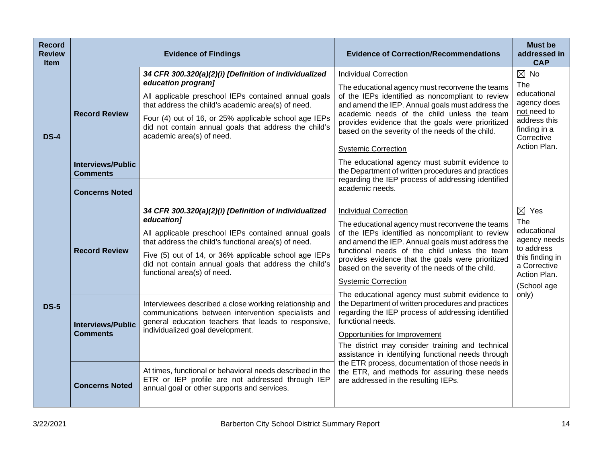| <b>Record</b><br><b>Review</b><br><b>Item</b> |                                                                                              | <b>Evidence of Findings</b>                                                                                                                                                                                                                                                                                                              | <b>Evidence of Correction/Recommendations</b>                                                                                                                                                                                                                                                                                                                                                                                                                                                                                                                  | <b>Must be</b><br>addressed in<br><b>CAP</b>                                                                                          |
|-----------------------------------------------|----------------------------------------------------------------------------------------------|------------------------------------------------------------------------------------------------------------------------------------------------------------------------------------------------------------------------------------------------------------------------------------------------------------------------------------------|----------------------------------------------------------------------------------------------------------------------------------------------------------------------------------------------------------------------------------------------------------------------------------------------------------------------------------------------------------------------------------------------------------------------------------------------------------------------------------------------------------------------------------------------------------------|---------------------------------------------------------------------------------------------------------------------------------------|
| <b>DS-4</b>                                   | <b>Record Review</b><br><b>Interviews/Public</b><br><b>Comments</b><br><b>Concerns Noted</b> | 34 CFR 300.320(a)(2)(i) [Definition of individualized<br>education program]<br>All applicable preschool IEPs contained annual goals<br>that address the child's academic area(s) of need.<br>Four (4) out of 16, or 25% applicable school age IEPs<br>did not contain annual goals that address the child's<br>academic area(s) of need. | <b>Individual Correction</b><br>The educational agency must reconvene the teams<br>of the IEPs identified as noncompliant to review<br>and amend the IEP. Annual goals must address the<br>academic needs of the child unless the team<br>provides evidence that the goals were prioritized<br>based on the severity of the needs of the child.<br><b>Systemic Correction</b><br>The educational agency must submit evidence to<br>the Department of written procedures and practices<br>regarding the IEP process of addressing identified<br>academic needs. | $\boxtimes$ No<br>The<br>educational<br>agency does<br>not need to<br>address this<br>finding in a<br>Corrective<br>Action Plan.      |
| <b>DS-5</b>                                   | <b>Record Review</b>                                                                         | 34 CFR 300.320(a)(2)(i) [Definition of individualized<br>education]<br>All applicable preschool IEPs contained annual goals<br>that address the child's functional area(s) of need.<br>Five (5) out of 14, or 36% applicable school age IEPs<br>did not contain annual goals that address the child's<br>functional area(s) of need.     | <b>Individual Correction</b><br>The educational agency must reconvene the teams<br>of the IEPs identified as noncompliant to review<br>and amend the IEP. Annual goals must address the<br>functional needs of the child unless the team<br>provides evidence that the goals were prioritized<br>based on the severity of the needs of the child.<br><b>Systemic Correction</b>                                                                                                                                                                                | $\boxtimes$ Yes<br>The<br>educational<br>agency needs<br>to address<br>this finding in<br>a Corrective<br>Action Plan.<br>(School age |
|                                               | <b>Interviews/Public</b><br><b>Comments</b>                                                  | Interviewees described a close working relationship and<br>communications between intervention specialists and<br>general education teachers that leads to responsive,<br>individualized goal development.                                                                                                                               | The educational agency must submit evidence to<br>the Department of written procedures and practices<br>regarding the IEP process of addressing identified<br>functional needs.<br>Opportunities for Improvement<br>The district may consider training and technical<br>assistance in identifying functional needs through                                                                                                                                                                                                                                     | only)                                                                                                                                 |
|                                               | <b>Concerns Noted</b>                                                                        | At times, functional or behavioral needs described in the<br>ETR or IEP profile are not addressed through IEP<br>annual goal or other supports and services.                                                                                                                                                                             | the ETR process, documentation of those needs in<br>the ETR, and methods for assuring these needs<br>are addressed in the resulting IEPs.                                                                                                                                                                                                                                                                                                                                                                                                                      |                                                                                                                                       |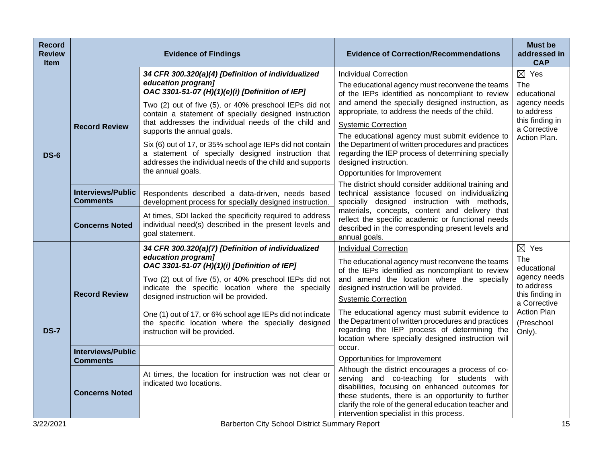| <b>Record</b><br><b>Review</b><br><b>Item</b> |                                             | <b>Evidence of Findings</b>                                                                                                                                                                                                                                                                                                                                                                                                                                                                                                              | <b>Evidence of Correction/Recommendations</b>                                                                                                                                                                                                                                                                                                                                                                                                                                                                                                            | <b>Must be</b><br>addressed in<br><b>CAP</b>                                                                                        |
|-----------------------------------------------|---------------------------------------------|------------------------------------------------------------------------------------------------------------------------------------------------------------------------------------------------------------------------------------------------------------------------------------------------------------------------------------------------------------------------------------------------------------------------------------------------------------------------------------------------------------------------------------------|----------------------------------------------------------------------------------------------------------------------------------------------------------------------------------------------------------------------------------------------------------------------------------------------------------------------------------------------------------------------------------------------------------------------------------------------------------------------------------------------------------------------------------------------------------|-------------------------------------------------------------------------------------------------------------------------------------|
| <b>DS-6</b>                                   | <b>Record Review</b>                        | 34 CFR 300.320(a)(4) [Definition of individualized<br>education program]<br>OAC 3301-51-07 (H)(1)(e)(i) [Definition of IEP]<br>Two (2) out of five (5), or 40% preschool IEPs did not<br>contain a statement of specially designed instruction<br>that addresses the individual needs of the child and<br>supports the annual goals.<br>Six (6) out of 17, or 35% school age IEPs did not contain<br>a statement of specially designed instruction that<br>addresses the individual needs of the child and supports<br>the annual goals. | <b>Individual Correction</b><br>The educational agency must reconvene the teams<br>of the IEPs identified as noncompliant to review<br>and amend the specially designed instruction, as<br>appropriate, to address the needs of the child.<br><b>Systemic Correction</b><br>The educational agency must submit evidence to<br>the Department of written procedures and practices<br>regarding the IEP process of determining specially<br>designed instruction.<br>Opportunities for Improvement<br>The district should consider additional training and | $\boxtimes$ Yes<br>The<br>educational<br>agency needs<br>to address<br>this finding in<br>a Corrective<br>Action Plan.              |
|                                               | <b>Interviews/Public</b><br><b>Comments</b> | Respondents described a data-driven, needs based<br>development process for specially designed instruction.                                                                                                                                                                                                                                                                                                                                                                                                                              | technical assistance focused on individualizing<br>specially designed instruction with methods,                                                                                                                                                                                                                                                                                                                                                                                                                                                          |                                                                                                                                     |
|                                               | <b>Concerns Noted</b>                       | At times, SDI lacked the specificity required to address<br>individual need(s) described in the present levels and<br>goal statement.                                                                                                                                                                                                                                                                                                                                                                                                    | materials, concepts, content and delivery that<br>reflect the specific academic or functional needs<br>described in the corresponding present levels and<br>annual goals.                                                                                                                                                                                                                                                                                                                                                                                |                                                                                                                                     |
|                                               | <b>Record Review</b>                        | 34 CFR 300.320(a)(7) [Definition of individualized<br>education program]<br>OAC 3301-51-07 (H)(1)(i) [Definition of IEP]<br>Two (2) out of five (5), or 40% preschool IEPs did not<br>indicate the specific location where the specially<br>designed instruction will be provided.                                                                                                                                                                                                                                                       | <b>Individual Correction</b><br>The educational agency must reconvene the teams<br>of the IEPs identified as noncompliant to review<br>and amend the location where the specially<br>designed instruction will be provided.<br><b>Systemic Correction</b><br>The educational agency must submit evidence to                                                                                                                                                                                                                                              | $\boxtimes$ Yes<br><b>The</b><br>educational<br>agency needs<br>to address<br>this finding in<br>a Corrective<br><b>Action Plan</b> |
| <b>DS-7</b>                                   |                                             | One (1) out of 17, or 6% school age IEPs did not indicate<br>the specific location where the specially designed<br>instruction will be provided.                                                                                                                                                                                                                                                                                                                                                                                         | the Department of written procedures and practices<br>regarding the IEP process of determining the<br>location where specially designed instruction will                                                                                                                                                                                                                                                                                                                                                                                                 | (Preschool<br>Only).                                                                                                                |
|                                               | <b>Interviews/Public</b><br><b>Comments</b> |                                                                                                                                                                                                                                                                                                                                                                                                                                                                                                                                          | occur.<br>Opportunities for Improvement                                                                                                                                                                                                                                                                                                                                                                                                                                                                                                                  |                                                                                                                                     |
|                                               | <b>Concerns Noted</b>                       | At times, the location for instruction was not clear or<br>indicated two locations.                                                                                                                                                                                                                                                                                                                                                                                                                                                      | Although the district encourages a process of co-<br>serving and co-teaching for students with<br>disabilities, focusing on enhanced outcomes for<br>these students, there is an opportunity to further<br>clarify the role of the general education teacher and<br>intervention specialist in this process.                                                                                                                                                                                                                                             |                                                                                                                                     |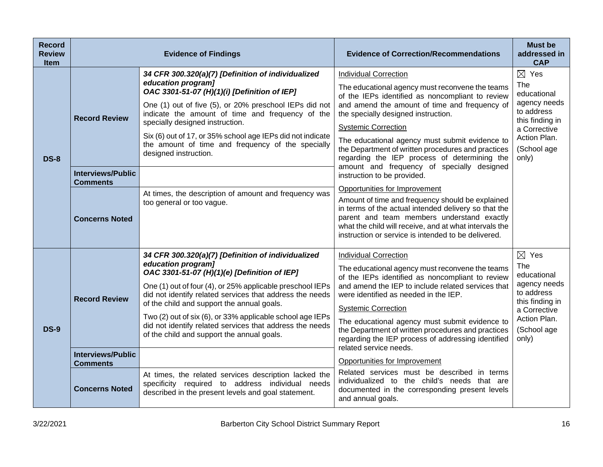| <b>Record</b><br><b>Review</b><br><b>Item</b> |                                                  | <b>Evidence of Findings</b>                                                                                                                                                                                                                                                                                                                                                                                                                                            | <b>Evidence of Correction/Recommendations</b>                                                                                                                                                                                                                                                                                                                                                                                                                                                  | <b>Must be</b><br>addressed in<br><b>CAP</b>                                                                                                   |
|-----------------------------------------------|--------------------------------------------------|------------------------------------------------------------------------------------------------------------------------------------------------------------------------------------------------------------------------------------------------------------------------------------------------------------------------------------------------------------------------------------------------------------------------------------------------------------------------|------------------------------------------------------------------------------------------------------------------------------------------------------------------------------------------------------------------------------------------------------------------------------------------------------------------------------------------------------------------------------------------------------------------------------------------------------------------------------------------------|------------------------------------------------------------------------------------------------------------------------------------------------|
| <b>DS-8</b>                                   | <b>Record Review</b><br><b>Interviews/Public</b> | 34 CFR 300.320(a)(7) [Definition of individualized<br>education program]<br>OAC 3301-51-07 (H)(1)(i) [Definition of IEP]<br>One (1) out of five (5), or 20% preschool IEPs did not<br>indicate the amount of time and frequency of the<br>specially designed instruction.<br>Six (6) out of 17, or 35% school age IEPs did not indicate<br>the amount of time and frequency of the specially<br>designed instruction.                                                  | <b>Individual Correction</b><br>The educational agency must reconvene the teams<br>of the IEPs identified as noncompliant to review<br>and amend the amount of time and frequency of<br>the specially designed instruction.<br><b>Systemic Correction</b><br>The educational agency must submit evidence to<br>the Department of written procedures and practices<br>regarding the IEP process of determining the<br>amount and frequency of specially designed<br>instruction to be provided. | $\boxtimes$ Yes<br>The<br>educational<br>agency needs<br>to address<br>this finding in<br>a Corrective<br>Action Plan.<br>(School age<br>only) |
|                                               | <b>Comments</b><br><b>Concerns Noted</b>         | At times, the description of amount and frequency was<br>too general or too vague.                                                                                                                                                                                                                                                                                                                                                                                     | Opportunities for Improvement<br>Amount of time and frequency should be explained<br>in terms of the actual intended delivery so that the<br>parent and team members understand exactly<br>what the child will receive, and at what intervals the<br>instruction or service is intended to be delivered.                                                                                                                                                                                       |                                                                                                                                                |
| <b>DS-9</b>                                   | <b>Record Review</b><br><b>Interviews/Public</b> | 34 CFR 300.320(a)(7) [Definition of individualized<br>education program]<br>OAC 3301-51-07 (H)(1)(e) [Definition of IEP]<br>One (1) out of four (4), or 25% applicable preschool IEPs<br>did not identify related services that address the needs<br>of the child and support the annual goals.<br>Two (2) out of six (6), or 33% applicable school age IEPs<br>did not identify related services that address the needs<br>of the child and support the annual goals. | <b>Individual Correction</b><br>The educational agency must reconvene the teams<br>of the IEPs identified as noncompliant to review<br>and amend the IEP to include related services that<br>were identified as needed in the IEP.<br><b>Systemic Correction</b><br>The educational agency must submit evidence to<br>the Department of written procedures and practices<br>regarding the IEP process of addressing identified<br>related service needs.                                       | $\boxtimes$ Yes<br>The<br>educational<br>agency needs<br>to address<br>this finding in<br>a Corrective<br>Action Plan.<br>(School age<br>only) |
|                                               | <b>Comments</b><br><b>Concerns Noted</b>         | At times, the related services description lacked the<br>specificity required to address individual needs<br>described in the present levels and goal statement.                                                                                                                                                                                                                                                                                                       | Opportunities for Improvement<br>Related services must be described in terms<br>individualized to the child's needs that are<br>documented in the corresponding present levels<br>and annual goals.                                                                                                                                                                                                                                                                                            |                                                                                                                                                |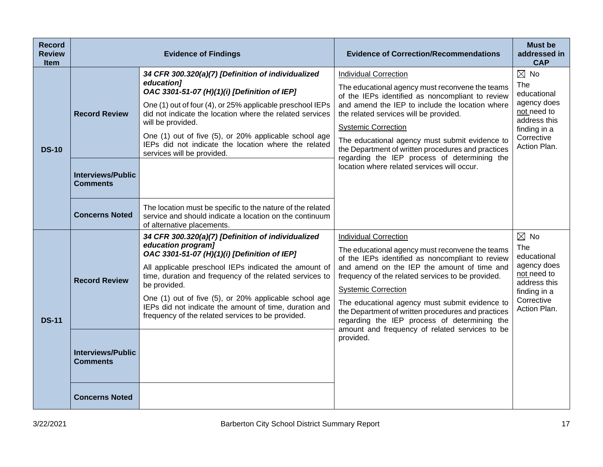| <b>Record</b><br><b>Review</b><br>Item | <b>Evidence of Findings</b>                                         |                                                                                                                                                                                                                                                                                                                                                                                                                                      | <b>Evidence of Correction/Recommendations</b>                                                                                                                                                                                                                                                                                                                                                                                                                                   | <b>Must be</b><br>addressed in<br><b>CAP</b>                                                                                     |
|----------------------------------------|---------------------------------------------------------------------|--------------------------------------------------------------------------------------------------------------------------------------------------------------------------------------------------------------------------------------------------------------------------------------------------------------------------------------------------------------------------------------------------------------------------------------|---------------------------------------------------------------------------------------------------------------------------------------------------------------------------------------------------------------------------------------------------------------------------------------------------------------------------------------------------------------------------------------------------------------------------------------------------------------------------------|----------------------------------------------------------------------------------------------------------------------------------|
| <b>DS-10</b>                           | <b>Record Review</b><br><b>Interviews/Public</b><br><b>Comments</b> | 34 CFR 300.320(a)(7) [Definition of individualized<br>education]<br>OAC 3301-51-07 (H)(1)(i) [Definition of IEP]<br>One (1) out of four (4), or 25% applicable preschool IEPs<br>did not indicate the location where the related services<br>will be provided.<br>One (1) out of five (5), or 20% applicable school age<br>IEPs did not indicate the location where the related<br>services will be provided.                        | <b>Individual Correction</b><br>The educational agency must reconvene the teams<br>of the IEPs identified as noncompliant to review<br>and amend the IEP to include the location where<br>the related services will be provided.<br><b>Systemic Correction</b><br>The educational agency must submit evidence to<br>the Department of written procedures and practices<br>regarding the IEP process of determining the<br>location where related services will occur.           | $\boxtimes$ No<br>The<br>educational<br>agency does<br>not need to<br>address this<br>finding in a<br>Corrective<br>Action Plan. |
|                                        | <b>Concerns Noted</b>                                               | The location must be specific to the nature of the related<br>service and should indicate a location on the continuum<br>of alternative placements.                                                                                                                                                                                                                                                                                  |                                                                                                                                                                                                                                                                                                                                                                                                                                                                                 |                                                                                                                                  |
| <b>DS-11</b>                           | <b>Record Review</b>                                                | 34 CFR 300.320(a)(7) [Definition of individualized<br>education program]<br>OAC 3301-51-07 (H)(1)(i) [Definition of IEP]<br>All applicable preschool IEPs indicated the amount of<br>time, duration and frequency of the related services to<br>be provided.<br>One (1) out of five (5), or 20% applicable school age<br>IEPs did not indicate the amount of time, duration and<br>frequency of the related services to be provided. | <b>Individual Correction</b><br>The educational agency must reconvene the teams<br>of the IEPs identified as noncompliant to review<br>and amend on the IEP the amount of time and<br>frequency of the related services to be provided.<br><b>Systemic Correction</b><br>The educational agency must submit evidence to<br>the Department of written procedures and practices<br>regarding the IEP process of determining the<br>amount and frequency of related services to be | $\boxtimes$ No<br>The<br>educational<br>agency does<br>not need to<br>address this<br>finding in a<br>Corrective<br>Action Plan. |
|                                        | <b>Interviews/Public</b><br><b>Comments</b>                         |                                                                                                                                                                                                                                                                                                                                                                                                                                      | provided.                                                                                                                                                                                                                                                                                                                                                                                                                                                                       |                                                                                                                                  |
|                                        | <b>Concerns Noted</b>                                               |                                                                                                                                                                                                                                                                                                                                                                                                                                      |                                                                                                                                                                                                                                                                                                                                                                                                                                                                                 |                                                                                                                                  |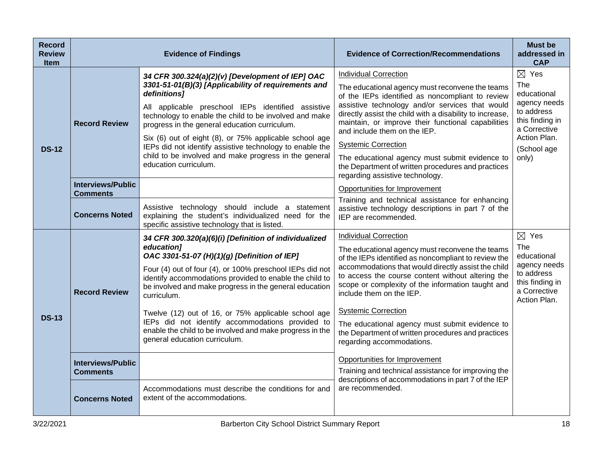| <b>Record</b><br><b>Review</b><br><b>Item</b> | <b>Evidence of Findings</b>                 |                                                                                                                                                                                                      | <b>Evidence of Correction/Recommendations</b>                                                                                                                                                     | <b>Must be</b><br>addressed in<br><b>CAP</b>                                                          |
|-----------------------------------------------|---------------------------------------------|------------------------------------------------------------------------------------------------------------------------------------------------------------------------------------------------------|---------------------------------------------------------------------------------------------------------------------------------------------------------------------------------------------------|-------------------------------------------------------------------------------------------------------|
|                                               | <b>Record Review</b>                        | 34 CFR 300.324(a)(2)(v) [Development of IEP] OAC<br>3301-51-01(B)(3) [Applicability of requirements and<br>definitions]                                                                              | <b>Individual Correction</b>                                                                                                                                                                      | $\boxtimes$ Yes                                                                                       |
|                                               |                                             |                                                                                                                                                                                                      | The educational agency must reconvene the teams<br>of the IEPs identified as noncompliant to review                                                                                               | The<br>educational                                                                                    |
|                                               |                                             | All applicable preschool IEPs identified assistive<br>technology to enable the child to be involved and make<br>progress in the general education curriculum.                                        | assistive technology and/or services that would<br>directly assist the child with a disability to increase,<br>maintain, or improve their functional capabilities<br>and include them on the IEP. | agency needs<br>to address<br>this finding in<br>a Corrective<br>Action Plan.<br>(School age<br>only) |
| <b>DS-12</b>                                  |                                             | Six (6) out of eight (8), or 75% applicable school age<br>IEPs did not identify assistive technology to enable the<br>child to be involved and make progress in the general<br>education curriculum. | <b>Systemic Correction</b>                                                                                                                                                                        |                                                                                                       |
|                                               |                                             |                                                                                                                                                                                                      | The educational agency must submit evidence to<br>the Department of written procedures and practices<br>regarding assistive technology.                                                           |                                                                                                       |
|                                               | <b>Interviews/Public</b><br><b>Comments</b> |                                                                                                                                                                                                      | Opportunities for Improvement                                                                                                                                                                     |                                                                                                       |
|                                               | <b>Concerns Noted</b>                       | Assistive technology should include a statement<br>explaining the student's individualized need for the<br>specific assistive technology that is listed.                                             | Training and technical assistance for enhancing<br>assistive technology descriptions in part 7 of the<br>IEP are recommended.                                                                     |                                                                                                       |
|                                               | <b>Record Review</b>                        | 34 CFR 300.320(a)(6)(i) [Definition of individualized                                                                                                                                                | <b>Individual Correction</b>                                                                                                                                                                      | $\boxtimes$ Yes                                                                                       |
|                                               |                                             | education]<br>OAC 3301-51-07 (H)(1)(g) [Definition of IEP]                                                                                                                                           | The educational agency must reconvene the teams<br>of the IEPs identified as noncompliant to review the                                                                                           | The<br>educational                                                                                    |
|                                               |                                             | Four (4) out of four (4), or 100% preschool IEPs did not<br>identify accommodations provided to enable the child to<br>be involved and make progress in the general education<br>curriculum.         | accommodations that would directly assist the child<br>to access the course content without altering the<br>scope or complexity of the information taught and<br>include them on the IEP.         | agency needs<br>to address<br>this finding in<br>a Corrective<br>Action Plan.                         |
| <b>DS-13</b>                                  |                                             | Twelve (12) out of 16, or 75% applicable school age<br>IEPs did not identify accommodations provided to<br>enable the child to be involved and make progress in the<br>general education curriculum. | <b>Systemic Correction</b>                                                                                                                                                                        |                                                                                                       |
|                                               |                                             |                                                                                                                                                                                                      | The educational agency must submit evidence to<br>the Department of written procedures and practices<br>regarding accommodations.                                                                 |                                                                                                       |
|                                               | <b>Interviews/Public</b>                    |                                                                                                                                                                                                      | Opportunities for Improvement                                                                                                                                                                     |                                                                                                       |
|                                               | <b>Comments</b>                             |                                                                                                                                                                                                      | Training and technical assistance for improving the<br>descriptions of accommodations in part 7 of the IEP                                                                                        |                                                                                                       |
|                                               | <b>Concerns Noted</b>                       | Accommodations must describe the conditions for and<br>extent of the accommodations.                                                                                                                 | are recommended.                                                                                                                                                                                  |                                                                                                       |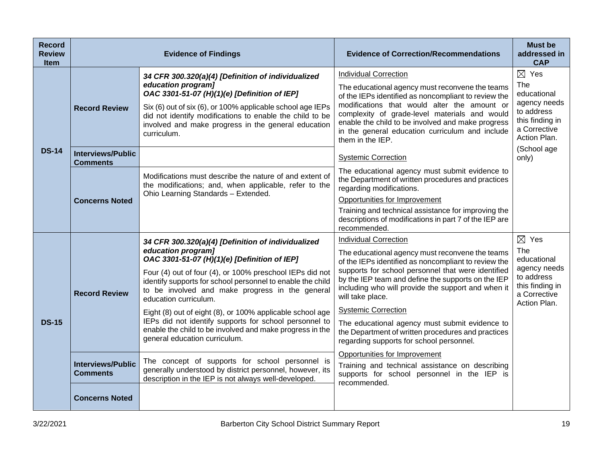| <b>Record</b><br><b>Review</b><br><b>Item</b> | <b>Evidence of Findings</b>                 |                                                                                                                                                                                                                  | <b>Evidence of Correction/Recommendations</b>                                                                                                                                                                             | <b>Must be</b><br>addressed in<br><b>CAP</b>                                  |
|-----------------------------------------------|---------------------------------------------|------------------------------------------------------------------------------------------------------------------------------------------------------------------------------------------------------------------|---------------------------------------------------------------------------------------------------------------------------------------------------------------------------------------------------------------------------|-------------------------------------------------------------------------------|
|                                               | <b>Record Review</b>                        | 34 CFR 300.320(a)(4) [Definition of individualized                                                                                                                                                               | <b>Individual Correction</b>                                                                                                                                                                                              | $\boxtimes$ Yes                                                               |
|                                               |                                             | education program]<br>OAC 3301-51-07 (H)(1)(e) [Definition of IEP]                                                                                                                                               | The educational agency must reconvene the teams<br>of the IEPs identified as noncompliant to review the                                                                                                                   | The<br>educational                                                            |
|                                               |                                             | Six (6) out of six (6), or 100% applicable school age IEPs<br>did not identify modifications to enable the child to be<br>involved and make progress in the general education<br>curriculum.                     | modifications that would alter the amount or<br>complexity of grade-level materials and would<br>enable the child to be involved and make progress<br>in the general education curriculum and include<br>them in the IEP. | agency needs<br>to address<br>this finding in<br>a Corrective<br>Action Plan. |
| <b>DS-14</b>                                  | <b>Interviews/Public</b><br><b>Comments</b> |                                                                                                                                                                                                                  | <b>Systemic Correction</b>                                                                                                                                                                                                | (School age<br>only)                                                          |
|                                               | <b>Concerns Noted</b>                       | Modifications must describe the nature of and extent of<br>the modifications; and, when applicable, refer to the<br>Ohio Learning Standards - Extended.                                                          | The educational agency must submit evidence to<br>the Department of written procedures and practices<br>regarding modifications.                                                                                          |                                                                               |
|                                               |                                             |                                                                                                                                                                                                                  | Opportunities for Improvement                                                                                                                                                                                             |                                                                               |
|                                               |                                             |                                                                                                                                                                                                                  | Training and technical assistance for improving the<br>descriptions of modifications in part 7 of the IEP are<br>recommended.                                                                                             |                                                                               |
|                                               | <b>Record Review</b>                        | 34 CFR 300.320(a)(4) [Definition of individualized<br>education program]<br>OAC 3301-51-07 (H)(1)(e) [Definition of IEP]                                                                                         | <b>Individual Correction</b>                                                                                                                                                                                              | $\boxtimes$ Yes                                                               |
|                                               |                                             |                                                                                                                                                                                                                  | The educational agency must reconvene the teams<br>of the IEPs identified as noncompliant to review the                                                                                                                   | The<br>educational                                                            |
|                                               |                                             | Four (4) out of four (4), or 100% preschool IEPs did not<br>identify supports for school personnel to enable the child<br>to be involved and make progress in the general<br>education curriculum.               | supports for school personnel that were identified<br>by the IEP team and define the supports on the IEP<br>including who will provide the support and when it<br>will take place.                                        | agency needs<br>to address<br>this finding in<br>a Corrective<br>Action Plan. |
|                                               |                                             | Eight (8) out of eight (8), or 100% applicable school age<br>IEPs did not identify supports for school personnel to<br>enable the child to be involved and make progress in the<br>general education curriculum. | <b>Systemic Correction</b>                                                                                                                                                                                                |                                                                               |
| <b>DS-15</b>                                  |                                             |                                                                                                                                                                                                                  | The educational agency must submit evidence to<br>the Department of written procedures and practices<br>regarding supports for school personnel.                                                                          |                                                                               |
|                                               | <b>Interviews/Public</b><br><b>Comments</b> | The concept of supports for school personnel is                                                                                                                                                                  | Opportunities for Improvement                                                                                                                                                                                             |                                                                               |
|                                               |                                             | generally understood by district personnel, however, its<br>description in the IEP is not always well-developed.                                                                                                 | Training and technical assistance on describing<br>supports for school personnel in the IEP is<br>recommended.                                                                                                            |                                                                               |
|                                               | <b>Concerns Noted</b>                       |                                                                                                                                                                                                                  |                                                                                                                                                                                                                           |                                                                               |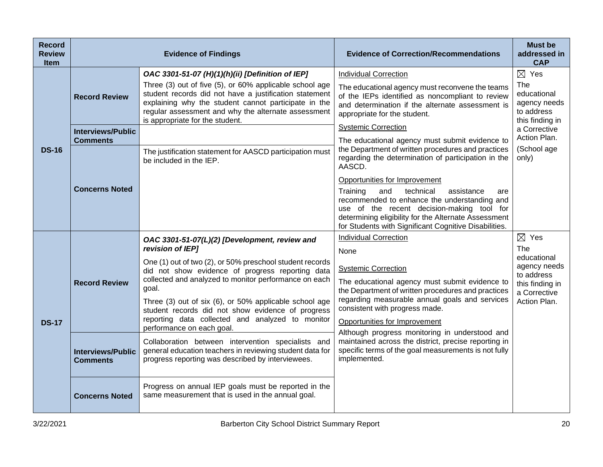| <b>Record</b><br><b>Review</b><br><b>Item</b> | <b>Evidence of Findings</b>                 |                                                                                                                                                                                                                                                                                                                                                                                                                                                     | <b>Evidence of Correction/Recommendations</b>                                                                                                                                                                                                                                                                                                     | <b>Must be</b><br>addressed in<br><b>CAP</b>                                                                                  |
|-----------------------------------------------|---------------------------------------------|-----------------------------------------------------------------------------------------------------------------------------------------------------------------------------------------------------------------------------------------------------------------------------------------------------------------------------------------------------------------------------------------------------------------------------------------------------|---------------------------------------------------------------------------------------------------------------------------------------------------------------------------------------------------------------------------------------------------------------------------------------------------------------------------------------------------|-------------------------------------------------------------------------------------------------------------------------------|
| <b>DS-16</b>                                  | <b>Record Review</b>                        | OAC 3301-51-07 (H)(1)(h)(ii) [Definition of IEP]<br>Three (3) out of five (5), or 60% applicable school age<br>student records did not have a justification statement<br>explaining why the student cannot participate in the<br>regular assessment and why the alternate assessment<br>is appropriate for the student.                                                                                                                             | <b>Individual Correction</b><br>The educational agency must reconvene the teams<br>of the IEPs identified as noncompliant to review<br>and determination if the alternate assessment is<br>appropriate for the student.                                                                                                                           | $\boxtimes$ Yes<br>The<br>educational<br>agency needs<br>to address<br>this finding in                                        |
|                                               | <b>Interviews/Public</b><br><b>Comments</b> | The justification statement for AASCD participation must<br>be included in the IEP.                                                                                                                                                                                                                                                                                                                                                                 | <b>Systemic Correction</b><br>The educational agency must submit evidence to<br>the Department of written procedures and practices<br>regarding the determination of participation in the                                                                                                                                                         | a Corrective<br>Action Plan.<br>(School age<br>only)                                                                          |
|                                               | <b>Concerns Noted</b>                       |                                                                                                                                                                                                                                                                                                                                                                                                                                                     | AASCD.<br>Opportunities for Improvement<br>Training<br>technical<br>assistance<br>and<br>are<br>recommended to enhance the understanding and<br>use of the recent decision-making tool for<br>determining eligibility for the Alternate Assessment<br>for Students with Significant Cognitive Disabilities.                                       |                                                                                                                               |
| <b>DS-17</b>                                  | <b>Record Review</b>                        | OAC 3301-51-07(L)(2) [Development, review and<br>revision of IEP]<br>One (1) out of two (2), or 50% preschool student records<br>did not show evidence of progress reporting data<br>collected and analyzed to monitor performance on each<br>goal.<br>Three (3) out of six (6), or 50% applicable school age<br>student records did not show evidence of progress<br>reporting data collected and analyzed to monitor<br>performance on each goal. | <b>Individual Correction</b><br>None<br><b>Systemic Correction</b><br>The educational agency must submit evidence to<br>the Department of written procedures and practices<br>regarding measurable annual goals and services<br>consistent with progress made.<br>Opportunities for Improvement<br>Although progress monitoring in understood and | $\boxtimes$ Yes<br><b>The</b><br>educational<br>agency needs<br>to address<br>this finding in<br>a Corrective<br>Action Plan. |
|                                               | <b>Interviews/Public</b><br><b>Comments</b> | Collaboration between intervention specialists and<br>general education teachers in reviewing student data for<br>progress reporting was described by interviewees.                                                                                                                                                                                                                                                                                 | maintained across the district, precise reporting in<br>specific terms of the goal measurements is not fully<br>implemented.                                                                                                                                                                                                                      |                                                                                                                               |
|                                               | <b>Concerns Noted</b>                       | Progress on annual IEP goals must be reported in the<br>same measurement that is used in the annual goal.                                                                                                                                                                                                                                                                                                                                           |                                                                                                                                                                                                                                                                                                                                                   |                                                                                                                               |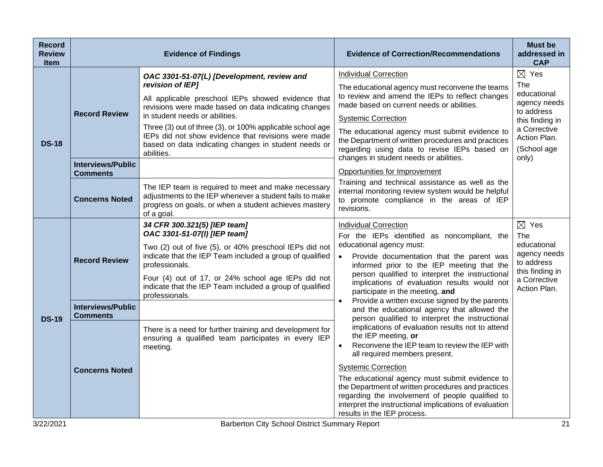| <b>Record</b><br><b>Review</b><br><b>Item</b> | <b>Evidence of Findings</b>                                          |                                                                                                                                                                                                                                                                                                                                                                                                          | <b>Evidence of Correction/Recommendations</b>                                                                                                                                                                                                                                                                                                                                                                   | <b>Must be</b><br>addressed in<br><b>CAP</b>                                                                                                   |
|-----------------------------------------------|----------------------------------------------------------------------|----------------------------------------------------------------------------------------------------------------------------------------------------------------------------------------------------------------------------------------------------------------------------------------------------------------------------------------------------------------------------------------------------------|-----------------------------------------------------------------------------------------------------------------------------------------------------------------------------------------------------------------------------------------------------------------------------------------------------------------------------------------------------------------------------------------------------------------|------------------------------------------------------------------------------------------------------------------------------------------------|
| <b>DS-18</b>                                  | <b>Record Review</b>                                                 | OAC 3301-51-07(L) [Development, review and<br>revision of IEP]<br>All applicable preschool IEPs showed evidence that<br>revisions were made based on data indicating changes<br>in student needs or abilities.<br>Three (3) out of three (3), or 100% applicable school age<br>IEPs did not show evidence that revisions were made<br>based on data indicating changes in student needs or<br>abilities. | <b>Individual Correction</b><br>The educational agency must reconvene the teams<br>to review and amend the IEPs to reflect changes<br>made based on current needs or abilities.<br><b>Systemic Correction</b><br>The educational agency must submit evidence to<br>the Department of written procedures and practices<br>regarding using data to revise IEPs based on<br>changes in student needs or abilities. | $\boxtimes$ Yes<br>The<br>educational<br>agency needs<br>to address<br>this finding in<br>a Corrective<br>Action Plan.<br>(School age<br>only) |
|                                               | <b>Interviews/Public</b><br><b>Comments</b><br><b>Concerns Noted</b> | The IEP team is required to meet and make necessary<br>adjustments to the IEP whenever a student fails to make<br>progress on goals, or when a student achieves mastery<br>of a goal.                                                                                                                                                                                                                    | Opportunities for Improvement<br>Training and technical assistance as well as the<br>internal monitoring review system would be helpful<br>to promote compliance in the areas of IEP<br>revisions.                                                                                                                                                                                                              |                                                                                                                                                |
| <b>DS-19</b>                                  | <b>Record Review</b>                                                 | 34 CFR 300.321(5) [IEP team]<br>OAC 3301-51-07(I) [IEP team]<br>Two (2) out of five (5), or 40% preschool IEPs did not<br>indicate that the IEP Team included a group of qualified<br>professionals.<br>Four (4) out of 17, or 24% school age IEPs did not<br>indicate that the IEP Team included a group of qualified<br>professionals.                                                                 | <b>Individual Correction</b><br>For the IEPs identified as noncompliant, the<br>educational agency must:<br>Provide documentation that the parent was<br>$\bullet$<br>informed prior to the IEP meeting that the<br>person qualified to interpret the instructional<br>implications of evaluation results would not<br>participate in the meeting, and                                                          | $\boxtimes$ Yes<br>The<br>educational<br>agency needs<br>to address<br>this finding in<br>a Corrective<br>Action Plan.                         |
|                                               | <b>Interviews/Public</b><br><b>Comments</b>                          | There is a need for further training and development for<br>ensuring a qualified team participates in every IEP<br>meeting.                                                                                                                                                                                                                                                                              | Provide a written excuse signed by the parents<br>$\bullet$<br>and the educational agency that allowed the<br>person qualified to interpret the instructional<br>implications of evaluation results not to attend<br>the IEP meeting, or<br>Reconvene the IEP team to review the IEP with<br>$\bullet$<br>all required members present.                                                                         |                                                                                                                                                |
|                                               | <b>Concerns Noted</b>                                                |                                                                                                                                                                                                                                                                                                                                                                                                          | <b>Systemic Correction</b><br>The educational agency must submit evidence to<br>the Department of written procedures and practices<br>regarding the involvement of people qualified to<br>interpret the instructional implications of evaluation<br>results in the IEP process.                                                                                                                                 |                                                                                                                                                |